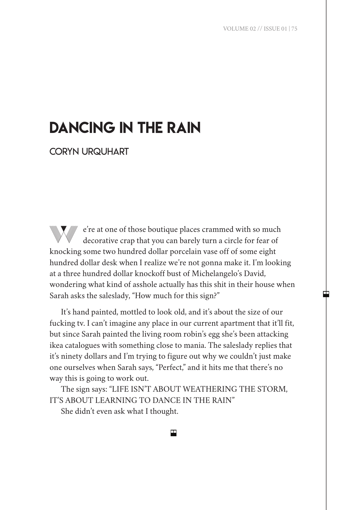# DANCING IN THE RAIN

CORYN URQUHART

 $\mathbb{W}$  e're at one of those boutique places crammed with so much decorative crap that you can barely turn a circle for fear of knocking some two hundred dollar porcelain vase off of some eight hundred dollar desk when I realize we're not gonna make it. I'm looking at a three hundred dollar knockoff bust of Michelangelo's David, wondering what kind of asshole actually has this shit in their house when Sarah asks the saleslady, "How much for this sign?"

It's hand painted, mottled to look old, and it's about the size of our fucking tv. I can't imagine any place in our current apartment that it'll fit, but since Sarah painted the living room robin's egg she's been attacking ikea catalogues with something close to mania. The saleslady replies that it's ninety dollars and I'm trying to figure out why we couldn't just make one ourselves when Sarah says, "Perfect," and it hits me that there's no way this is going to work out.

The sign says: "LIFE ISN'T ABOUT WEATHERING THE STORM, IT'S ABOUT LEARNING TO DANCE IN THE RAIN"

She didn't even ask what I thought.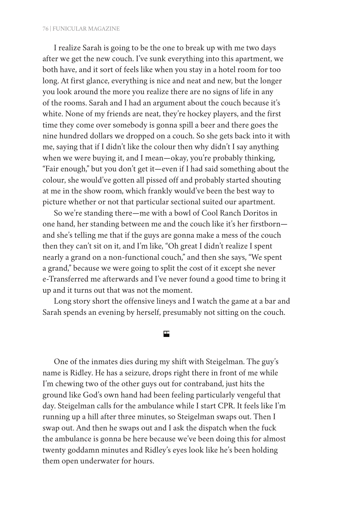I realize Sarah is going to be the one to break up with me two days after we get the new couch. I've sunk everything into this apartment, we both have, and it sort of feels like when you stay in a hotel room for too long. At first glance, everything is nice and neat and new, but the longer you look around the more you realize there are no signs of life in any of the rooms. Sarah and I had an argument about the couch because it's white. None of my friends are neat, they're hockey players, and the first time they come over somebody is gonna spill a beer and there goes the nine hundred dollars we dropped on a couch. So she gets back into it with me, saying that if I didn't like the colour then why didn't I say anything when we were buying it, and I mean—okay, you're probably thinking, "Fair enough," but you don't get it—even if I had said something about the colour, she would've gotten all pissed off and probably started shouting at me in the show room, which frankly would've been the best way to picture whether or not that particular sectional suited our apartment.

So we're standing there—me with a bowl of Cool Ranch Doritos in one hand, her standing between me and the couch like it's her firstborn and she's telling me that if the guys are gonna make a mess of the couch then they can't sit on it, and I'm like, "Oh great I didn't realize I spent nearly a grand on a non-functional couch," and then she says, "We spent a grand," because we were going to split the cost of it except she never e-Transferred me afterwards and I've never found a good time to bring it up and it turns out that was not the moment.

Long story short the offensive lineys and I watch the game at a bar and Sarah spends an evening by herself, presumably not sitting on the couch.

#### 円

One of the inmates dies during my shift with Steigelman. The guy's name is Ridley. He has a seizure, drops right there in front of me while I'm chewing two of the other guys out for contraband, just hits the ground like God's own hand had been feeling particularly vengeful that day. Steigelman calls for the ambulance while I start CPR. It feels like I'm running up a hill after three minutes, so Steigelman swaps out. Then I swap out. And then he swaps out and I ask the dispatch when the fuck the ambulance is gonna be here because we've been doing this for almost twenty goddamn minutes and Ridley's eyes look like he's been holding them open underwater for hours.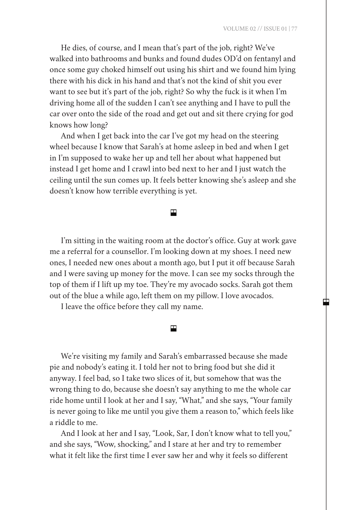He dies, of course, and I mean that's part of the job, right? We've walked into bathrooms and bunks and found dudes OD'd on fentanyl and once some guy choked himself out using his shirt and we found him lying there with his dick in his hand and that's not the kind of shit you ever want to see but it's part of the job, right? So why the fuck is it when I'm driving home all of the sudden I can't see anything and I have to pull the car over onto the side of the road and get out and sit there crying for god knows how long?

And when I get back into the car I've got my head on the steering wheel because I know that Sarah's at home asleep in bed and when I get in I'm supposed to wake her up and tell her about what happened but instead I get home and I crawl into bed next to her and I just watch the ceiling until the sun comes up. It feels better knowing she's asleep and she doesn't know how terrible everything is yet.

## ш

I'm sitting in the waiting room at the doctor's office. Guy at work gave me a referral for a counsellor. I'm looking down at my shoes. I need new ones, I needed new ones about a month ago, but I put it off because Sarah and I were saving up money for the move. I can see my socks through the top of them if I lift up my toe. They're my avocado socks. Sarah got them out of the blue a while ago, left them on my pillow. I love avocados.

I leave the office before they call my name.

#### 円

We're visiting my family and Sarah's embarrassed because she made pie and nobody's eating it. I told her not to bring food but she did it anyway. I feel bad, so I take two slices of it, but somehow that was the wrong thing to do, because she doesn't say anything to me the whole car ride home until I look at her and I say, "What," and she says, "Your family is never going to like me until you give them a reason to," which feels like a riddle to me.

And I look at her and I say, "Look, Sar, I don't know what to tell you," and she says, "Wow, shocking," and I stare at her and try to remember what it felt like the first time I ever saw her and why it feels so different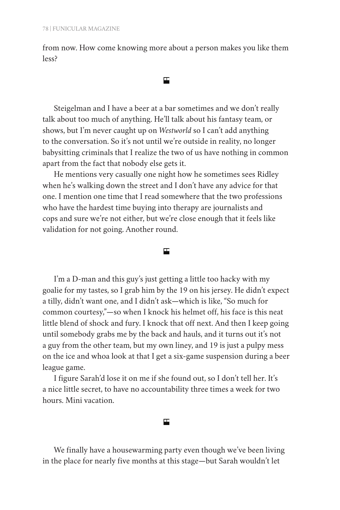from now. How come knowing more about a person makes you like them less?

#### 円

Steigelman and I have a beer at a bar sometimes and we don't really talk about too much of anything. He'll talk about his fantasy team, or shows, but I'm never caught up on *Westworld* so I can't add anything to the conversation. So it's not until we're outside in reality, no longer babysitting criminals that I realize the two of us have nothing in common apart from the fact that nobody else gets it.

He mentions very casually one night how he sometimes sees Ridley when he's walking down the street and I don't have any advice for that one. I mention one time that I read somewhere that the two professions who have the hardest time buying into therapy are journalists and cops and sure we're not either, but we're close enough that it feels like validation for not going. Another round.

## $\blacksquare$

I'm a D-man and this guy's just getting a little too hacky with my goalie for my tastes, so I grab him by the 19 on his jersey. He didn't expect a tilly, didn't want one, and I didn't ask—which is like, "So much for common courtesy,"—so when I knock his helmet off, his face is this neat little blend of shock and fury. I knock that off next. And then I keep going until somebody grabs me by the back and hauls, and it turns out it's not a guy from the other team, but my own liney, and 19 is just a pulpy mess on the ice and whoa look at that I get a six-game suspension during a beer league game.

I figure Sarah'd lose it on me if she found out, so I don't tell her. It's a nice little secret, to have no accountability three times a week for two hours. Mini vacation.

#### 円

We finally have a housewarming party even though we've been living in the place for nearly five months at this stage—but Sarah wouldn't let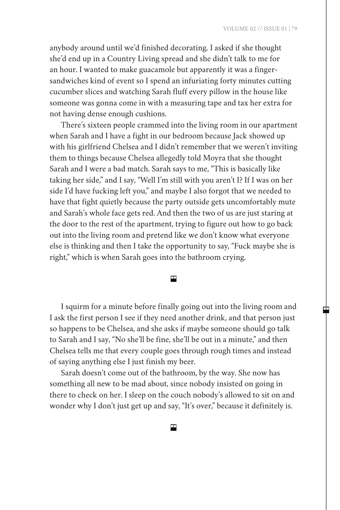中

anybody around until we'd finished decorating. I asked if she thought she'd end up in a Country Living spread and she didn't talk to me for an hour. I wanted to make guacamole but apparently it was a fingersandwiches kind of event so I spend an infuriating forty minutes cutting cucumber slices and watching Sarah fluff every pillow in the house like someone was gonna come in with a measuring tape and tax her extra for not having dense enough cushions.

There's sixteen people crammed into the living room in our apartment when Sarah and I have a fight in our bedroom because Jack showed up with his girlfriend Chelsea and I didn't remember that we weren't inviting them to things because Chelsea allegedly told Moyra that she thought Sarah and I were a bad match. Sarah says to me, "This is basically like taking her side," and I say, "Well I'm still with you aren't I? If I was on her side I'd have fucking left you," and maybe I also forgot that we needed to have that fight quietly because the party outside gets uncomfortably mute and Sarah's whole face gets red. And then the two of us are just staring at the door to the rest of the apartment, trying to figure out how to go back out into the living room and pretend like we don't know what everyone else is thinking and then I take the opportunity to say, "Fuck maybe she is right," which is when Sarah goes into the bathroom crying.

ш

I squirm for a minute before finally going out into the living room and I ask the first person I see if they need another drink, and that person just so happens to be Chelsea, and she asks if maybe someone should go talk to Sarah and I say, "No she'll be fine, she'll be out in a minute," and then Chelsea tells me that every couple goes through rough times and instead of saying anything else I just finish my beer.

Sarah doesn't come out of the bathroom, by the way. She now has something all new to be mad about, since nobody insisted on going in there to check on her. I sleep on the couch nobody's allowed to sit on and wonder why I don't just get up and say, "It's over," because it definitely is.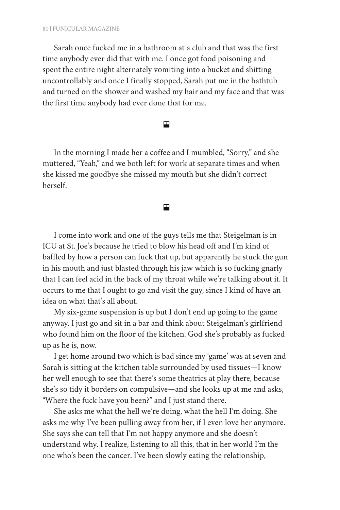Sarah once fucked me in a bathroom at a club and that was the first time anybody ever did that with me. I once got food poisoning and spent the entire night alternately vomiting into a bucket and shitting uncontrollably and once I finally stopped, Sarah put me in the bathtub and turned on the shower and washed my hair and my face and that was the first time anybody had ever done that for me.

円

In the morning I made her a coffee and I mumbled, "Sorry," and she muttered, "Yeah," and we both left for work at separate times and when she kissed me goodbye she missed my mouth but she didn't correct herself.

# 囯

I come into work and one of the guys tells me that Steigelman is in ICU at St. Joe's because he tried to blow his head off and I'm kind of baffled by how a person can fuck that up, but apparently he stuck the gun in his mouth and just blasted through his jaw which is so fucking gnarly that I can feel acid in the back of my throat while we're talking about it. It occurs to me that I ought to go and visit the guy, since I kind of have an idea on what that's all about.

My six-game suspension is up but I don't end up going to the game anyway. I just go and sit in a bar and think about Steigelman's girlfriend who found him on the floor of the kitchen. God she's probably as fucked up as he is, now.

I get home around two which is bad since my 'game' was at seven and Sarah is sitting at the kitchen table surrounded by used tissues—I know her well enough to see that there's some theatrics at play there, because she's so tidy it borders on compulsive—and she looks up at me and asks, "Where the fuck have you been?" and I just stand there.

She asks me what the hell we're doing, what the hell I'm doing. She asks me why I've been pulling away from her, if I even love her anymore. She says she can tell that I'm not happy anymore and she doesn't understand why. I realize, listening to all this, that in her world I'm the one who's been the cancer. I've been slowly eating the relationship,